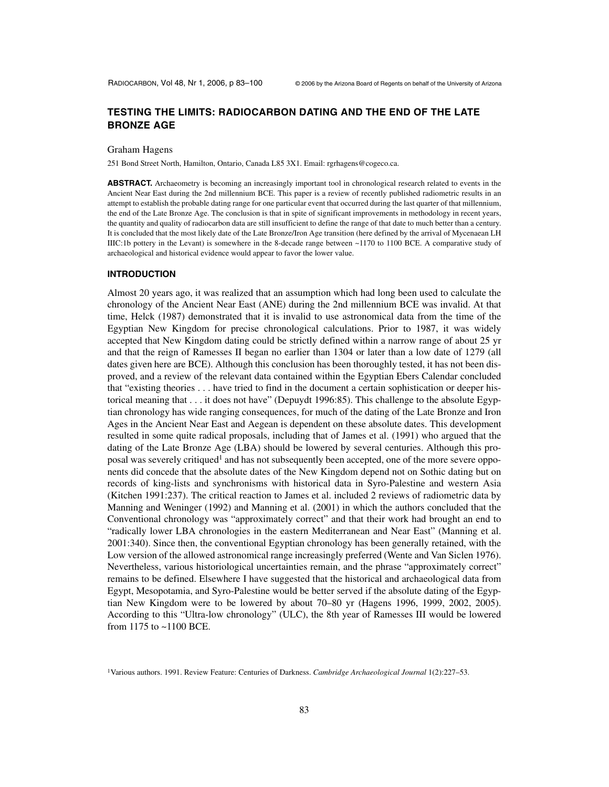# **TESTING THE LIMITS: RADIOCARBON DATING AND THE END OF THE LATE BRONZE AGE**

#### Graham Hagens

251 Bond Street North, Hamilton, Ontario, Canada L85 3X1. Email: rgrhagens@cogeco.ca.

**ABSTRACT.** Archaeometry is becoming an increasingly important tool in chronological research related to events in the Ancient Near East during the 2nd millennium BCE. This paper is a review of recently published radiometric results in an attempt to establish the probable dating range for one particular event that occurred during the last quarter of that millennium, the end of the Late Bronze Age. The conclusion is that in spite of significant improvements in methodology in recent years, the quantity and quality of radiocarbon data are still insufficient to define the range of that date to much better than a century. It is concluded that the most likely date of the Late Bronze/Iron Age transition (here defined by the arrival of Mycenaean LH IIIC:1b pottery in the Levant) is somewhere in the 8-decade range between ~1170 to 1100 BCE. A comparative study of archaeological and historical evidence would appear to favor the lower value.

#### **INTRODUCTION**

Almost 20 years ago, it was realized that an assumption which had long been used to calculate the chronology of the Ancient Near East (ANE) during the 2nd millennium BCE was invalid. At that time, Helck (1987) demonstrated that it is invalid to use astronomical data from the time of the Egyptian New Kingdom for precise chronological calculations. Prior to 1987, it was widely accepted that New Kingdom dating could be strictly defined within a narrow range of about 25 yr and that the reign of Ramesses II began no earlier than 1304 or later than a low date of 1279 (all dates given here are BCE). Although this conclusion has been thoroughly tested, it has not been disproved, and a review of the relevant data contained within the Egyptian Ebers Calendar concluded that "existing theories . . . have tried to find in the document a certain sophistication or deeper historical meaning that . . . it does not have" (Depuydt 1996:85). This challenge to the absolute Egyptian chronology has wide ranging consequences, for much of the dating of the Late Bronze and Iron Ages in the Ancient Near East and Aegean is dependent on these absolute dates. This development resulted in some quite radical proposals, including that of James et al. (1991) who argued that the dating of the Late Bronze Age (LBA) should be lowered by several centuries. Although this proposal was severely critiqued<sup>1</sup> and has not subsequently been accepted, one of the more severe opponents did concede that the absolute dates of the New Kingdom depend not on Sothic dating but on records of king-lists and synchronisms with historical data in Syro-Palestine and western Asia (Kitchen 1991:237). The critical reaction to James et al. included 2 reviews of radiometric data by Manning and Weninger (1992) and Manning et al. (2001) in which the authors concluded that the Conventional chronology was "approximately correct" and that their work had brought an end to "radically lower LBA chronologies in the eastern Mediterranean and Near East" (Manning et al. 2001:340). Since then, the conventional Egyptian chronology has been generally retained, with the Low version of the allowed astronomical range increasingly preferred (Wente and Van Siclen 1976). Nevertheless, various historiological uncertainties remain, and the phrase "approximately correct" remains to be defined. Elsewhere I have suggested that the historical and archaeological data from Egypt, Mesopotamia, and Syro-Palestine would be better served if the absolute dating of the Egyptian New Kingdom were to be lowered by about 70–80 yr (Hagens 1996, 1999, 2002, 2005). According to this "Ultra-low chronology" (ULC), the 8th year of Ramesses III would be lowered from 1175 to ~1100 BCE.

<sup>1</sup>Various authors. 1991. Review Feature: Centuries of Darkness. *Cambridge Archaeological Journal* 1(2):227–53.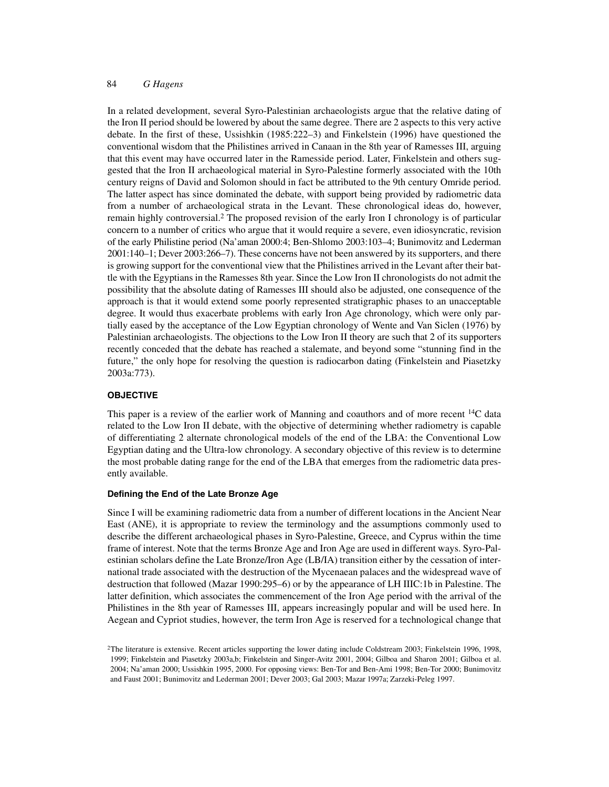In a related development, several Syro-Palestinian archaeologists argue that the relative dating of the Iron II period should be lowered by about the same degree. There are 2 aspects to this very active debate. In the first of these, Ussishkin (1985:222–3) and Finkelstein (1996) have questioned the conventional wisdom that the Philistines arrived in Canaan in the 8th year of Ramesses III, arguing that this event may have occurred later in the Ramesside period. Later, Finkelstein and others suggested that the Iron II archaeological material in Syro-Palestine formerly associated with the 10th century reigns of David and Solomon should in fact be attributed to the 9th century Omride period. The latter aspect has since dominated the debate, with support being provided by radiometric data from a number of archaeological strata in the Levant. These chronological ideas do, however, remain highly controversial.2 The proposed revision of the early Iron I chronology is of particular concern to a number of critics who argue that it would require a severe, even idiosyncratic, revision of the early Philistine period (Na'aman 2000:4; Ben-Shlomo 2003:103–4; Bunimovitz and Lederman 2001:140–1; Dever 2003:266–7). These concerns have not been answered by its supporters, and there is growing support for the conventional view that the Philistines arrived in the Levant after their battle with the Egyptians in the Ramesses 8th year. Since the Low Iron II chronologists do not admit the possibility that the absolute dating of Ramesses III should also be adjusted, one consequence of the approach is that it would extend some poorly represented stratigraphic phases to an unacceptable degree. It would thus exacerbate problems with early Iron Age chronology, which were only partially eased by the acceptance of the Low Egyptian chronology of Wente and Van Siclen (1976) by Palestinian archaeologists. The objections to the Low Iron II theory are such that 2 of its supporters recently conceded that the debate has reached a stalemate, and beyond some "stunning find in the future," the only hope for resolving the question is radiocarbon dating (Finkelstein and Piasetzky 2003a:773).

#### **OBJECTIVE**

This paper is a review of the earlier work of Manning and coauthors and of more recent <sup>14</sup>C data related to the Low Iron II debate, with the objective of determining whether radiometry is capable of differentiating 2 alternate chronological models of the end of the LBA: the Conventional Low Egyptian dating and the Ultra-low chronology. A secondary objective of this review is to determine the most probable dating range for the end of the LBA that emerges from the radiometric data presently available.

#### **Defining the End of the Late Bronze Age**

Since I will be examining radiometric data from a number of different locations in the Ancient Near East (ANE), it is appropriate to review the terminology and the assumptions commonly used to describe the different archaeological phases in Syro-Palestine, Greece, and Cyprus within the time frame of interest. Note that the terms Bronze Age and Iron Age are used in different ways. Syro-Palestinian scholars define the Late Bronze/Iron Age (LB/IA) transition either by the cessation of international trade associated with the destruction of the Mycenaean palaces and the widespread wave of destruction that followed (Mazar 1990:295–6) or by the appearance of LH IIIC:1b in Palestine. The latter definition, which associates the commencement of the Iron Age period with the arrival of the Philistines in the 8th year of Ramesses III, appears increasingly popular and will be used here. In Aegean and Cypriot studies, however, the term Iron Age is reserved for a technological change that

<sup>2</sup>The literature is extensive. Recent articles supporting the lower dating include Coldstream 2003; Finkelstein 1996, 1998, 1999; Finkelstein and Piasetzky 2003a,b; Finkelstein and Singer-Avitz 2001, 2004; Gilboa and Sharon 2001; Gilboa et al. 2004; Na'aman 2000; Ussishkin 1995, 2000. For opposing views: Ben-Tor and Ben-Ami 1998; Ben-Tor 2000; Bunimovitz and Faust 2001; Bunimovitz and Lederman 2001; Dever 2003; Gal 2003; Mazar 1997a; Zarzeki-Peleg 1997.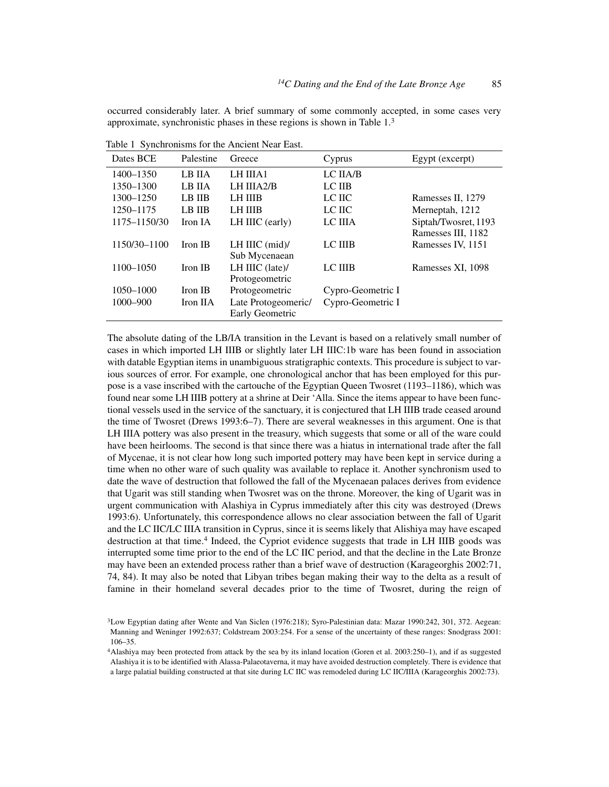occurred considerably later. A brief summary of some commonly accepted, in some cases very approximate, synchronistic phases in these regions is shown in Table 1.3

| Dates BCE    | Palestine     | Greece              | Cyprus            | Egypt (excerpt)      |
|--------------|---------------|---------------------|-------------------|----------------------|
| 1400-1350    | LB IIA        | LH IIIA1            | LC IIA/B          |                      |
| 1350-1300    | LB IIA        | LH IIIA2/B          | LC IIB            |                      |
| 1300-1250    | LB IIB        | LH IIIB             | LC HC             | Ramesses II, 1279    |
| 1250-1175    | <b>LB IIB</b> | <b>LH IIIB</b>      | LC HC             | Merneptah, 1212      |
| 1175-1150/30 | Iron IA       | LH IIIC (early)     | LC IIIA           | Siptah/Twosret, 1193 |
|              |               |                     |                   | Ramesses III, 1182   |
| 1150/30-1100 | Iron IB       | LH IIIC $(mid)$ /   | LC IIIB           | Ramesses IV, 1151    |
|              |               | Sub Mycenaean       |                   |                      |
| 1100-1050    | Iron IB       | $LH$ IIIC (late)/   | LC IIIB           | Ramesses XI, 1098    |
|              |               | Protogeometric      |                   |                      |
| 1050-1000    | Iron IB       | Protogeometric      | Cypro-Geometric I |                      |
| 1000-900     | Iron IIA      | Late Protogeomeric/ | Cypro-Geometric I |                      |
|              |               | Early Geometric     |                   |                      |

Table 1 Synchronisms for the Ancient Near East.

The absolute dating of the LB/IA transition in the Levant is based on a relatively small number of cases in which imported LH IIIB or slightly later LH IIIC:1b ware has been found in association with datable Egyptian items in unambiguous stratigraphic contexts. This procedure is subject to various sources of error. For example, one chronological anchor that has been employed for this purpose is a vase inscribed with the cartouche of the Egyptian Queen Twosret (1193–1186), which was found near some LH IIIB pottery at a shrine at Deir 'Alla. Since the items appear to have been functional vessels used in the service of the sanctuary, it is conjectured that LH IIIB trade ceased around the time of Twosret (Drews 1993:6–7). There are several weaknesses in this argument. One is that LH IIIA pottery was also present in the treasury, which suggests that some or all of the ware could have been heirlooms. The second is that since there was a hiatus in international trade after the fall of Mycenae, it is not clear how long such imported pottery may have been kept in service during a time when no other ware of such quality was available to replace it. Another synchronism used to date the wave of destruction that followed the fall of the Mycenaean palaces derives from evidence that Ugarit was still standing when Twosret was on the throne. Moreover, the king of Ugarit was in urgent communication with Alashiya in Cyprus immediately after this city was destroyed (Drews 1993:6). Unfortunately, this correspondence allows no clear association between the fall of Ugarit and the LC IIC/LC IIIA transition in Cyprus, since it is seems likely that Alishiya may have escaped destruction at that time.4 Indeed, the Cypriot evidence suggests that trade in LH IIIB goods was interrupted some time prior to the end of the LC IIC period, and that the decline in the Late Bronze may have been an extended process rather than a brief wave of destruction (Karageorghis 2002:71, 74, 84). It may also be noted that Libyan tribes began making their way to the delta as a result of famine in their homeland several decades prior to the time of Twosret, during the reign of

<sup>3</sup>Low Egyptian dating after Wente and Van Siclen (1976:218); Syro-Palestinian data: Mazar 1990:242, 301, 372. Aegean: Manning and Weninger 1992:637; Coldstream 2003:254. For a sense of the uncertainty of these ranges: Snodgrass 2001: 106–35.

<sup>4</sup>Alashiya may been protected from attack by the sea by its inland location (Goren et al. 2003:250–1), and if as suggested Alashiya it is to be identified with Alassa-Palaeotaverna, it may have avoided destruction completely. There is evidence that a large palatial building constructed at that site during LC IIC was remodeled during LC IIC/IIIA (Karageorghis 2002:73).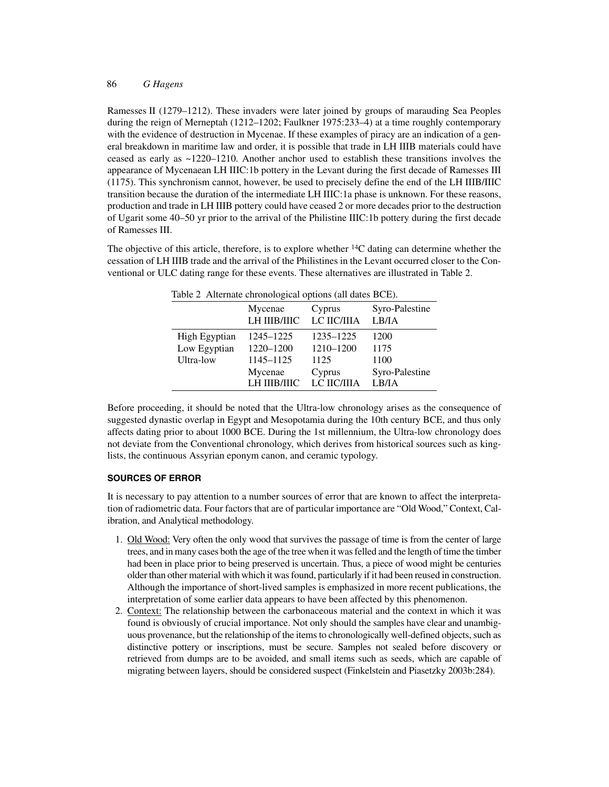Ramesses II (1279–1212). These invaders were later joined by groups of marauding Sea Peoples during the reign of Merneptah (1212–1202; Faulkner 1975:233–4) at a time roughly contemporary with the evidence of destruction in Mycenae. If these examples of piracy are an indication of a general breakdown in maritime law and order, it is possible that trade in LH IIIB materials could have ceased as early as ~1220–1210. Another anchor used to establish these transitions involves the appearance of Mycenaean LH IIIC:1b pottery in the Levant during the first decade of Ramesses III (1175). This synchronism cannot, however, be used to precisely define the end of the LH IIIB/IIIC transition because the duration of the intermediate LH IIIC:1a phase is unknown. For these reasons, production and trade in LH IIIB pottery could have ceased 2 or more decades prior to the destruction of Ugarit some 40–50 yr prior to the arrival of the Philistine IIIC:1b pottery during the first decade of Ramesses III.

The objective of this article, therefore, is to explore whether  $14C$  dating can determine whether the cessation of LH IIIB trade and the arrival of the Philistines in the Levant occurred closer to the Conventional or ULC dating range for these events. These alternatives are illustrated in Table 2.

| Table 2 Alternate chronological options (all dates BCE). |              |             |                |  |  |
|----------------------------------------------------------|--------------|-------------|----------------|--|--|
|                                                          | Mycenae      | Cyprus      | Syro-Palestine |  |  |
|                                                          | LH IIIB/IIIC | LC IIC/IIIA | LB/IA          |  |  |
| High Egyptian                                            | 1245–1225    | 1235-1225   | 1200           |  |  |
| Low Egyptian                                             | 1220-1200    | 1210-1200   | 1175           |  |  |
| Ultra-low                                                | 1145-1125    | 1125        | 1100           |  |  |
|                                                          | Mycenae      | Cyprus      | Syro-Palestine |  |  |
|                                                          | LH IIIB/IIIC | LC IIC/IIIA | LB/IA          |  |  |

Table 2 Alternate chronological options (all dates BCE).

Before proceeding, it should be noted that the Ultra-low chronology arises as the consequence of suggested dynastic overlap in Egypt and Mesopotamia during the 10th century BCE, and thus only affects dating prior to about 1000 BCE. During the 1st millennium, the Ultra-low chronology does not deviate from the Conventional chronology, which derives from historical sources such as kinglists, the continuous Assyrian eponym canon, and ceramic typology.

## **SOURCES OF ERROR**

It is necessary to pay attention to a number sources of error that are known to affect the interpretation of radiometric data. Four factors that are of particular importance are "Old Wood," Context, Calibration, and Analytical methodology.

- 1. Old Wood: Very often the only wood that survives the passage of time is from the center of large trees, and in many cases both the age of the tree when it was felled and the length of time the timber had been in place prior to being preserved is uncertain. Thus, a piece of wood might be centuries older than other material with which it was found, particularly if it had been reused in construction. Although the importance of short-lived samples is emphasized in more recent publications, the interpretation of some earlier data appears to have been affected by this phenomenon.
- 2. Context: The relationship between the carbonaceous material and the context in which it was found is obviously of crucial importance. Not only should the samples have clear and unambiguous provenance, but the relationship of the items to chronologically well-defined objects, such as distinctive pottery or inscriptions, must be secure. Samples not sealed before discovery or retrieved from dumps are to be avoided, and small items such as seeds, which are capable of migrating between layers, should be considered suspect (Finkelstein and Piasetzky 2003b:284).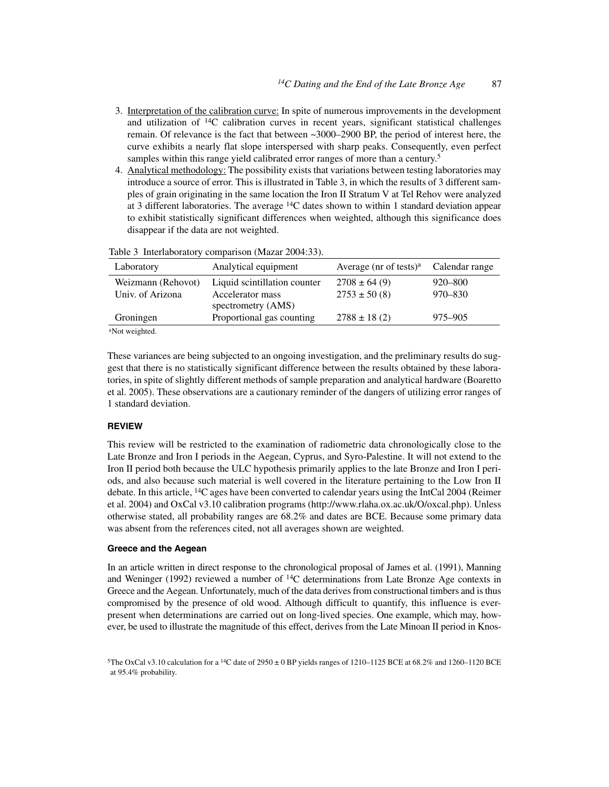- 3. Interpretation of the calibration curve: In spite of numerous improvements in the development and utilization of  $^{14}C$  calibration curves in recent years, significant statistical challenges remain. Of relevance is the fact that between ~3000–2900 BP, the period of interest here, the curve exhibits a nearly flat slope interspersed with sharp peaks. Consequently, even perfect samples within this range yield calibrated error ranges of more than a century.<sup>5</sup>
- 4. Analytical methodology: The possibility exists that variations between testing laboratories may introduce a source of error. This is illustrated in Table 3, in which the results of 3 different samples of grain originating in the same location the Iron II Stratum V at Tel Rehov were analyzed at 3 different laboratories. The average 14C dates shown to within 1 standard deviation appear to exhibit statistically significant differences when weighted, although this significance does disappear if the data are not weighted.

| Laboratory         | Analytical equipment                   | Average ( $nr$ of tests) <sup>a</sup> | Calendar range |
|--------------------|----------------------------------------|---------------------------------------|----------------|
| Weizmann (Rehovot) | Liquid scintillation counter           | $2708 \pm 64(9)$                      | 920–800        |
| Univ. of Arizona   | Accelerator mass<br>spectrometry (AMS) | $2753 \pm 50(8)$                      | 970–830        |
| Groningen          | Proportional gas counting              | $2788 \pm 18$ (2)                     | 975–905        |
| $9N_{1-4}$ $1.4.1$ |                                        |                                       |                |

|  | Table 3 Interlaboratory comparison (Mazar 2004:33). |  |  |  |
|--|-----------------------------------------------------|--|--|--|
|--|-----------------------------------------------------|--|--|--|

Not weighted.

These variances are being subjected to an ongoing investigation, and the preliminary results do suggest that there is no statistically significant difference between the results obtained by these laboratories, in spite of slightly different methods of sample preparation and analytical hardware (Boaretto et al. 2005). These observations are a cautionary reminder of the dangers of utilizing error ranges of 1 standard deviation.

# **REVIEW**

This review will be restricted to the examination of radiometric data chronologically close to the Late Bronze and Iron I periods in the Aegean, Cyprus, and Syro-Palestine. It will not extend to the Iron II period both because the ULC hypothesis primarily applies to the late Bronze and Iron I periods, and also because such material is well covered in the literature pertaining to the Low Iron II debate. In this article, 14C ages have been converted to calendar years using the IntCal 2004 (Reimer et al. 2004) and OxCal v3.10 calibration programs (http://www.rlaha.ox.ac.uk/O/oxcal.php). Unless otherwise stated, all probability ranges are 68.2% and dates are BCE. Because some primary data was absent from the references cited, not all averages shown are weighted.

### **Greece and the Aegean**

In an article written in direct response to the chronological proposal of James et al. (1991), Manning and Weninger (1992) reviewed a number of  ${}^{14}$ C determinations from Late Bronze Age contexts in Greece and the Aegean. Unfortunately, much of the data derives from constructional timbers and is thus compromised by the presence of old wood. Although difficult to quantify, this influence is everpresent when determinations are carried out on long-lived species. One example, which may, however, be used to illustrate the magnitude of this effect, derives from the Late Minoan II period in Knos-

<sup>&</sup>lt;sup>5</sup>The OxCal v3.10 calculation for a <sup>14</sup>C date of 2950  $\pm$  0 BP yields ranges of 1210–1125 BCE at 68.2% and 1260–1120 BCE at 95.4% probability.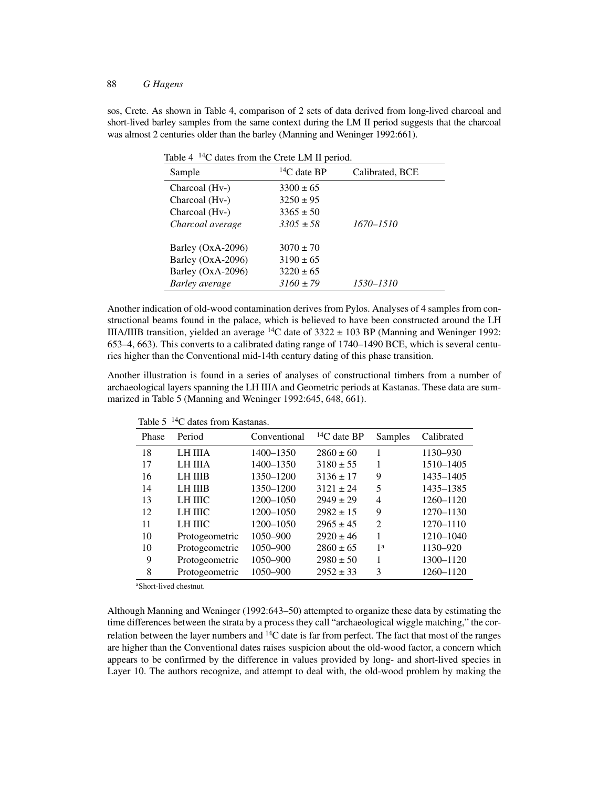sos, Crete. As shown in Table 4, comparison of 2 sets of data derived from long-lived charcoal and short-lived barley samples from the same context during the LM II period suggests that the charcoal was almost 2 centuries older than the barley (Manning and Weninger 1992:661).

Table 4<sup>14</sup>C dates from the Crete LM II period.

| Sample            | ${}^{14}C$ date BP | Calibrated, BCE |
|-------------------|--------------------|-----------------|
| Charcoal (Hv-)    | $3300 \pm 65$      |                 |
| Charcoal (Hv-)    | $3250 \pm 95$      |                 |
| Charcoal (Hv-)    | $3365 \pm 50$      |                 |
| Charcoal average  | $3305 \pm 58$      | 1670–1510       |
|                   |                    |                 |
| Barley (OxA-2096) | $3070 \pm 70$      |                 |
| Barley (OxA-2096) | $3190 \pm 65$      |                 |
| Barley (OxA-2096) | $3220 \pm 65$      |                 |
| Barley average    | $3160 \pm 79$      | 1530–1310       |

Another indication of old-wood contamination derives from Pylos. Analyses of 4 samples from constructional beams found in the palace, which is believed to have been constructed around the LH IIIA/IIIB transition, yielded an average  ${}^{14}C$  date of 3322  $\pm$  103 BP (Manning and Weninger 1992: 653–4, 663). This converts to a calibrated dating range of 1740–1490 BCE, which is several centuries higher than the Conventional mid-14th century dating of this phase transition.

Another illustration is found in a series of analyses of constructional timbers from a number of archaeological layers spanning the LH IIIA and Geometric periods at Kastanas. These data are summarized in Table 5 (Manning and Weninger 1992:645, 648, 661).

| Phase | Period         | Conventional | ${}^{14}C$ date BP | Samples        | Calibrated |
|-------|----------------|--------------|--------------------|----------------|------------|
| 18    | LH IIIA        | 1400-1350    | $2860 \pm 60$      |                | 1130-930   |
| 17    | <b>LH IIIA</b> | 1400-1350    | $3180 \pm 55$      |                | 1510-1405  |
| 16    | <b>LH IIIB</b> | 1350-1200    | $3136 \pm 17$      | 9              | 1435-1405  |
| 14    | <b>LH IIIB</b> | 1350-1200    | $3121 \pm 24$      | 5              | 1435-1385  |
| 13    | LH IIIC        | 1200-1050    | $2949 \pm 29$      | 4              | 1260-1120  |
| 12    | LH IIIC        | 1200-1050    | $2982 \pm 15$      | 9              | 1270-1130  |
| 11    | <b>LH IIIC</b> | 1200-1050    | $2965 \pm 45$      | $\mathfrak{D}$ | 1270-1110  |
| 10    | Protogeometric | 1050-900     | $2920 \pm 46$      | 1              | 1210-1040  |
| 10    | Protogeometric | $1050 - 900$ | $2860 \pm 65$      | 1 <sup>a</sup> | 1130-920   |
| 9     | Protogeometric | 1050-900     | $2980 \pm 50$      | 1              | 1300-1120  |
| 8     | Protogeometric | 1050-900     | $2952 \pm 33$      | 3              | 1260-1120  |

Table 5 14C dates from Kastanas.

aShort-lived chestnut.

Although Manning and Weninger (1992:643–50) attempted to organize these data by estimating the time differences between the strata by a process they call "archaeological wiggle matching," the correlation between the layer numbers and  $^{14}C$  date is far from perfect. The fact that most of the ranges are higher than the Conventional dates raises suspicion about the old-wood factor, a concern which appears to be confirmed by the difference in values provided by long- and short-lived species in Layer 10. The authors recognize, and attempt to deal with, the old-wood problem by making the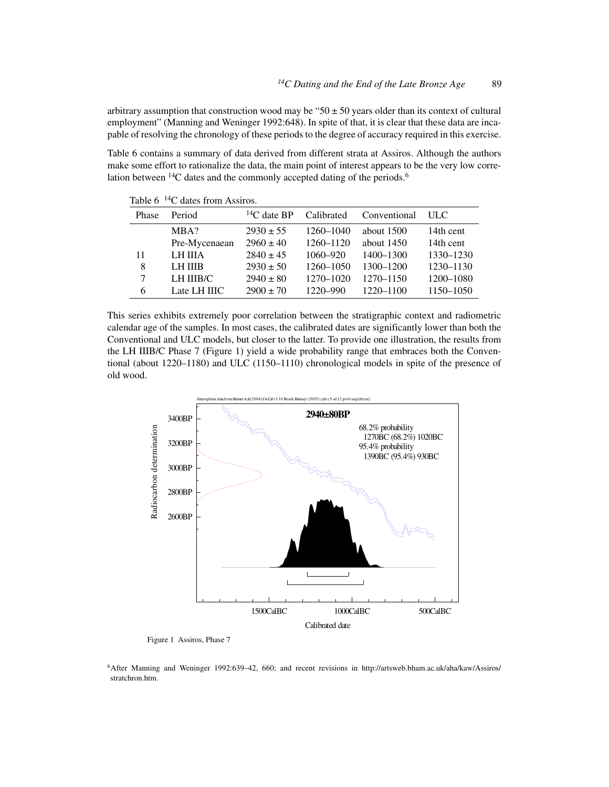arbitrary assumption that construction wood may be " $50 \pm 50$  years older than its context of cultural employment" (Manning and Weninger 1992:648). In spite of that, it is clear that these data are incapable of resolving the chronology of these periods to the degree of accuracy required in this exercise.

Table 6 contains a summary of data derived from different strata at Assiros. Although the authors make some effort to rationalize the data, the main point of interest appears to be the very low correlation between <sup>14</sup>C dates and the commonly accepted dating of the periods.<sup>6</sup>

| 1400 V | $\sim$ agos nom <i>i</i> issues. |                    |            |              |           |
|--------|----------------------------------|--------------------|------------|--------------|-----------|
| Phase  | Period                           | ${}^{14}C$ date BP | Calibrated | Conventional | ULC.      |
|        | MBA?                             | $2930 \pm 55$      | 1260-1040  | about 1500   | 14th cent |
|        | Pre-Mycenaean                    | $2960 \pm 40$      | 1260-1120  | about $1450$ | 14th cent |
| 11     | LH IIIA                          | $2840 \pm 45$      | 1060-920   | 1400-1300    | 1330-1230 |
| 8      | LH IIIB                          | $2930 \pm 50$      | 1260-1050  | 1300-1200    | 1230-1130 |
| 7      | LH IIIB/C                        | $2940 \pm 80$      | 1270-1020  | 1270-1150    | 1200-1080 |
| 6      | Late LH IIIC                     | $2900 \pm 70$      | 1220-990   | 1220-1100    | 1150-1050 |
|        |                                  |                    |            |              |           |

Table 6 <sup>14</sup>C dates from Assiros.

This series exhibits extremely poor correlation between the stratigraphic context and radiometric calendar age of the samples. In most cases, the calibrated dates are significantly lower than both the Conventional and ULC models, but closer to the latter. To provide one illustration, the results from the LH IIIB/C Phase 7 (Figure 1) yield a wide probability range that embraces both the Conventional (about 1220–1180) and ULC (1150–1110) chronological models in spite of the presence of old wood.



Figure 1 Assiros, Phase 7

6After Manning and Weninger 1992:639–42, 660; and recent revisions in http://artsweb.bham.ac.uk/aha/kaw/Assiros/ stratchron.htm.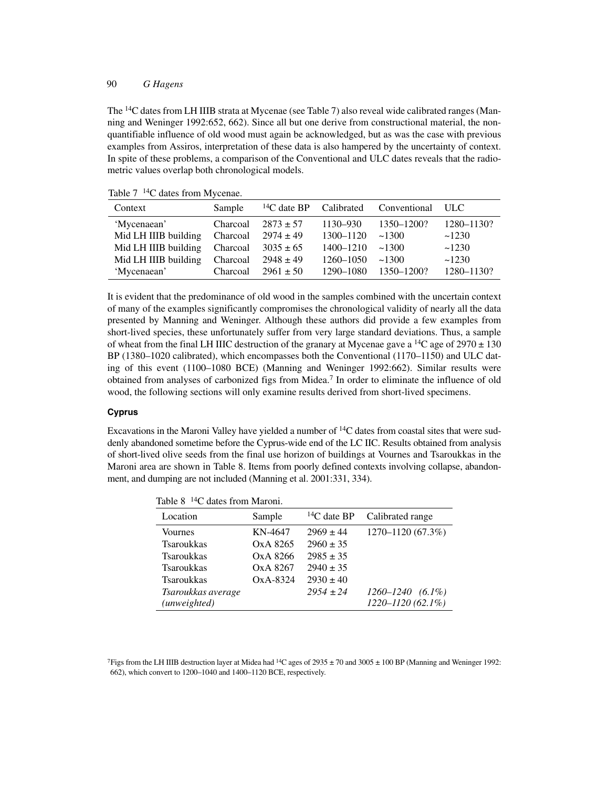The 14C dates from LH IIIB strata at Mycenae (see Table 7) also reveal wide calibrated ranges (Manning and Weninger 1992:652, 662). Since all but one derive from constructional material, the nonquantifiable influence of old wood must again be acknowledged, but as was the case with previous examples from Assiros, interpretation of these data is also hampered by the uncertainty of context. In spite of these problems, a comparison of the Conventional and ULC dates reveals that the radiometric values overlap both chronological models.

| Context              | Sample   |               |           | $^{14}C$ date BP Calibrated Conventional | - ULC      |
|----------------------|----------|---------------|-----------|------------------------------------------|------------|
| 'Mycenaean'          | Charcoal | $2873 \pm 57$ | 1130–930  | 1350–1200?                               | 1280-1130? |
| Mid LH IIIB building | Charcoal | $2974 \pm 49$ | 1300-1120 | ~1300                                    | ~1230      |
| Mid LH IIIB building | Charcoal | $3035 \pm 65$ | 1400-1210 | ~1300                                    | ~1230      |
| Mid LH IIIB building | Charcoal | $2948 \pm 49$ | 1260-1050 | ~1300                                    | ~1230      |
| 'Mycenaean'          | Charcoal | $2961 \pm 50$ | 1290-1080 | 1350-1200?                               | 1280-1130? |

Table 7<sup>14</sup>C dates from Mycenae.

It is evident that the predominance of old wood in the samples combined with the uncertain context of many of the examples significantly compromises the chronological validity of nearly all the data presented by Manning and Weninger. Although these authors did provide a few examples from short-lived species, these unfortunately suffer from very large standard deviations. Thus, a sample of wheat from the final LH IIIC destruction of the granary at Mycenae gave a  $^{14}$ C age of 2970  $\pm$  130 BP (1380–1020 calibrated), which encompasses both the Conventional (1170–1150) and ULC dating of this event (1100–1080 BCE) (Manning and Weninger 1992:662). Similar results were obtained from analyses of carbonized figs from Midea.7 In order to eliminate the influence of old wood, the following sections will only examine results derived from short-lived specimens.

#### **Cyprus**

Excavations in the Maroni Valley have yielded a number of 14C dates from coastal sites that were suddenly abandoned sometime before the Cyprus-wide end of the LC IIC. Results obtained from analysis of short-lived olive seeds from the final use horizon of buildings at Vournes and Tsaroukkas in the Maroni area are shown in Table 8. Items from poorly defined contexts involving collapse, abandonment, and dumping are not included (Manning et al. 2001:331, 334).

| Sample    | Calibrated range                                                                                                         |
|-----------|--------------------------------------------------------------------------------------------------------------------------|
| KN-4647   | 1270-1120 (67.3%)                                                                                                        |
| Ox A 8265 |                                                                                                                          |
| Ox A 8266 |                                                                                                                          |
| Ox A 8267 |                                                                                                                          |
| OxA-8324  |                                                                                                                          |
|           | 1260–1240<br>$(6.1\%)$                                                                                                   |
|           | $1220 - 1120(62.1\%)$                                                                                                    |
|           | ${}^{14}C$ date BP<br>$2969 \pm 44$<br>$2960 \pm 35$<br>$2985 \pm 35$<br>$2940 \pm 35$<br>$2930 \pm 40$<br>$2954 \pm 24$ |

 $Table 8$  14C dates from Me

<sup>7</sup>Figs from the LH IIIB destruction layer at Midea had <sup>14</sup>C ages of 2935  $\pm$  70 and 3005  $\pm$  100 BP (Manning and Weninger 1992: 662), which convert to 1200–1040 and 1400–1120 BCE, respectively.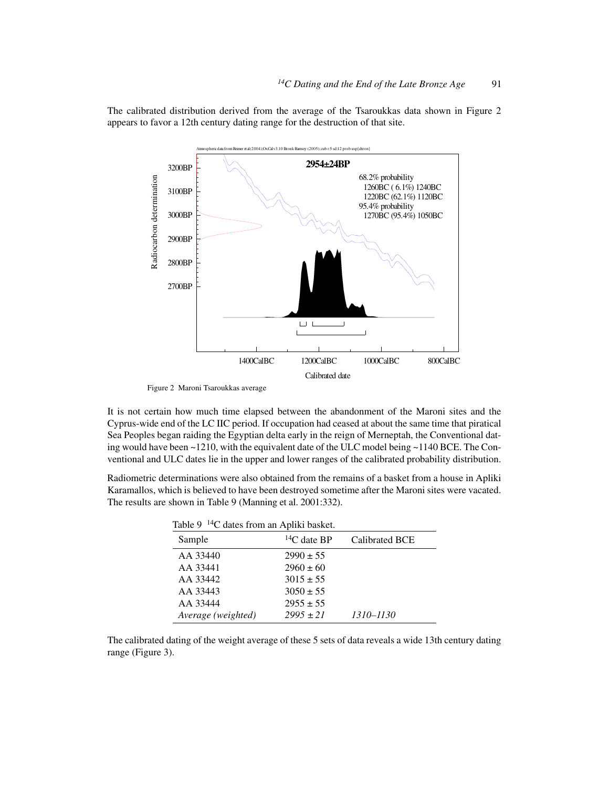The calibrated distribution derived from the average of the Tsaroukkas data shown in Figure 2 appears to favor a 12th century dating range for the destruction of that site.



Figure 2 Maroni Tsaroukkas average

It is not certain how much time elapsed between the abandonment of the Maroni sites and the Cyprus-wide end of the LC IIC period. If occupation had ceased at about the same time that piratical Sea Peoples began raiding the Egyptian delta early in the reign of Merneptah, the Conventional dating would have been  $\sim$  1210, with the equivalent date of the ULC model being  $\sim$  1140 BCE. The Conventional and ULC dates lie in the upper and lower ranges of the calibrated probability distribution.

Radiometric determinations were also obtained from the remains of a basket from a house in Apliki Karamallos, which is believed to have been destroyed sometime after the Maroni sites were vacated. The results are shown in Table 9 (Manning et al. 2001:332).

| Table 9 <sup>14</sup> C dates from an Apliki basket. |                    |                |  |  |
|------------------------------------------------------|--------------------|----------------|--|--|
| Sample                                               | ${}^{14}C$ date BP | Calibrated BCE |  |  |
| AA 33440                                             | $2990 \pm 55$      |                |  |  |
| AA 33441                                             | $2960 \pm 60$      |                |  |  |
| AA 33442                                             | $3015 \pm 55$      |                |  |  |
| AA 33443                                             | $3050 \pm 55$      |                |  |  |
| AA 33444                                             | $2955 \pm 55$      |                |  |  |
| Average (weighted)                                   | $2995 \pm 21$      | 1310–1130      |  |  |

The calibrated dating of the weight average of these 5 sets of data reveals a wide 13th century dating range (Figure 3).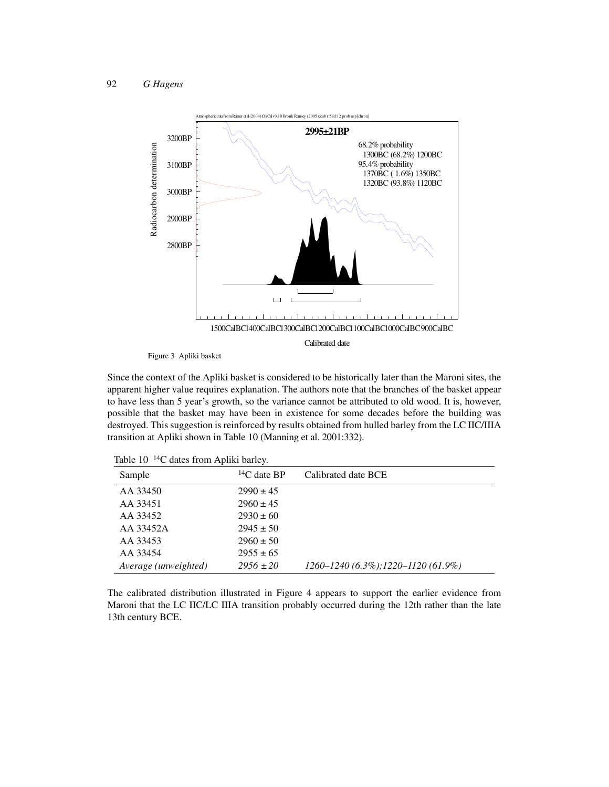

Figure 3 Apliki basket

Since the context of the Apliki basket is considered to be historically later than the Maroni sites, the apparent higher value requires explanation. The authors note that the branches of the basket appear to have less than 5 year's growth, so the variance cannot be attributed to old wood. It is, however, possible that the basket may have been in existence for some decades before the building was destroyed. This suggestion is reinforced by results obtained from hulled barley from the LC IIC/IIIA transition at Apliki shown in Table 10 (Manning et al. 2001:332).

| Sample               | ${}^{14}C$ date BP | Calibrated date BCE                         |
|----------------------|--------------------|---------------------------------------------|
| AA 33450             | $2990 \pm 45$      |                                             |
| AA 33451             | $2960 \pm 45$      |                                             |
| AA 33452             | $2930 \pm 60$      |                                             |
| AA 33452A            | $2945 \pm 50$      |                                             |
| AA 33453             | $2960 \pm 50$      |                                             |
| AA 33454             | $2955 \pm 65$      |                                             |
| Average (unweighted) | $2956 \pm 20$      | $1260 - 1240$ (6.3%); $1220 - 1120$ (61.9%) |
|                      |                    |                                             |

Table 10<sup>14</sup>C dates from Apliki barley.

The calibrated distribution illustrated in Figure 4 appears to support the earlier evidence from Maroni that the LC IIC/LC IIIA transition probably occurred during the 12th rather than the late 13th century BCE.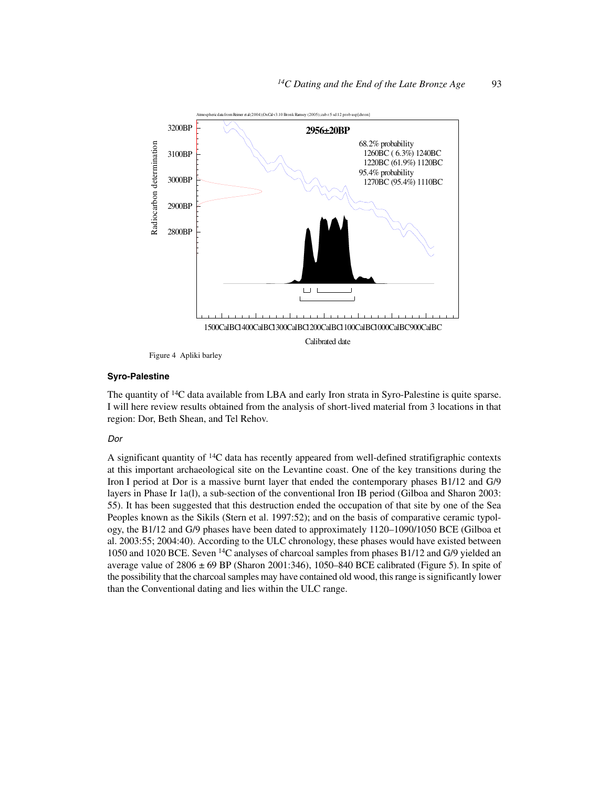

Figure 4 Apliki barley

### **Syro-Palestine**

The quantity of <sup>14</sup>C data available from LBA and early Iron strata in Syro-Palestine is quite sparse. I will here review results obtained from the analysis of short-lived material from 3 locations in that region: Dor, Beth Shean, and Tel Rehov.

## Dor

A significant quantity of 14C data has recently appeared from well-defined stratifigraphic contexts at this important archaeological site on the Levantine coast. One of the key transitions during the Iron I period at Dor is a massive burnt layer that ended the contemporary phases B1/12 and G/9 layers in Phase Ir 1a(l), a sub-section of the conventional Iron IB period (Gilboa and Sharon 2003: 55). It has been suggested that this destruction ended the occupation of that site by one of the Sea Peoples known as the Sikils (Stern et al. 1997:52); and on the basis of comparative ceramic typology, the B1/12 and G/9 phases have been dated to approximately 1120–1090/1050 BCE (Gilboa et al. 2003:55; 2004:40). According to the ULC chronology, these phases would have existed between 1050 and 1020 BCE. Seven 14C analyses of charcoal samples from phases B1/12 and G/9 yielded an average value of  $2806 \pm 69$  BP (Sharon 2001:346), 1050–840 BCE calibrated (Figure 5). In spite of the possibility that the charcoal samples may have contained old wood, this range is significantly lower than the Conventional dating and lies within the ULC range.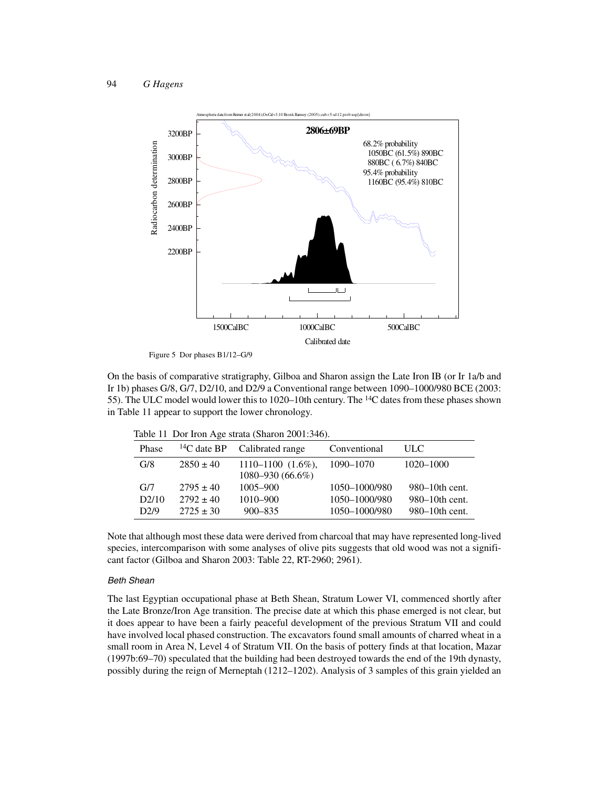

Figure 5 Dor phases B1/12–G/9

On the basis of comparative stratigraphy, Gilboa and Sharon assign the Late Iron IB (or Ir 1a/b and Ir 1b) phases G/8, G/7, D2/10, and D2/9 a Conventional range between 1090–1000/980 BCE (2003: 55). The ULC model would lower this to 1020–10th century. The 14C dates from these phases shown in Table 11 appear to support the lower chronology.

| Phase |               | $^{14}$ C date BP Calibrated range               | Conventional  | ULC.                |
|-------|---------------|--------------------------------------------------|---------------|---------------------|
| G/8   | $2850 \pm 40$ | $1110 - 1100$ $(1.6\%)$ ,<br>$1080 - 930(66.6%)$ | 1090-1070     | 1020-1000           |
| G/7   | $2795 \pm 40$ | $1005 - 900$                                     | 1050-1000/980 | $980 - 10$ th cent. |
| D2/10 | $2792 \pm 40$ | 1010-900                                         | 1050-1000/980 | 980–10th cent.      |
| D2/9  | $2725 \pm 30$ | $900 - 835$                                      | 1050-1000/980 | 980–10th cent.      |

Table 11 Dor Iron Age strata (Sharon 2001:346).

Note that although most these data were derived from charcoal that may have represented long-lived species, intercomparison with some analyses of olive pits suggests that old wood was not a significant factor (Gilboa and Sharon 2003: Table 22, RT-2960; 2961).

#### Beth Shean

The last Egyptian occupational phase at Beth Shean, Stratum Lower VI, commenced shortly after the Late Bronze/Iron Age transition. The precise date at which this phase emerged is not clear, but it does appear to have been a fairly peaceful development of the previous Stratum VII and could have involved local phased construction. The excavators found small amounts of charred wheat in a small room in Area N, Level 4 of Stratum VII. On the basis of pottery finds at that location, Mazar (1997b:69–70) speculated that the building had been destroyed towards the end of the 19th dynasty, possibly during the reign of Merneptah (1212–1202). Analysis of 3 samples of this grain yielded an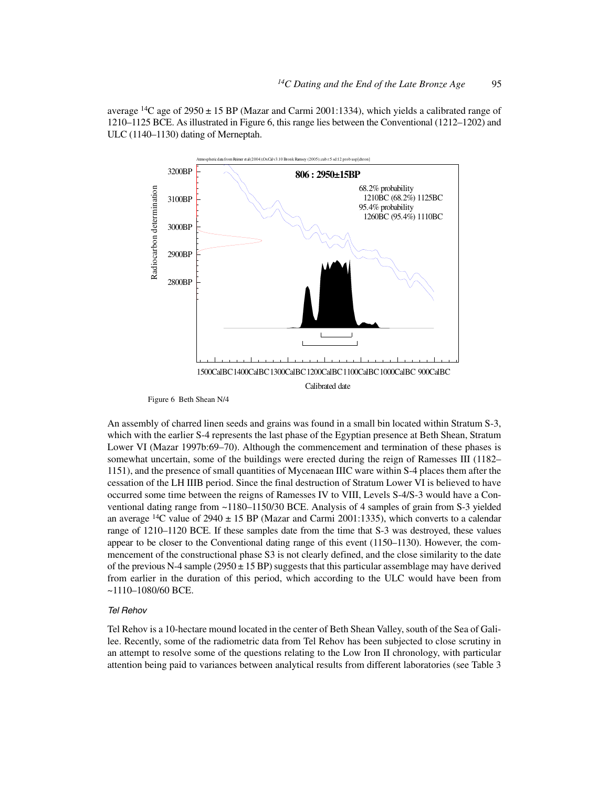average <sup>14</sup>C age of 2950  $\pm$  15 BP (Mazar and Carmi 2001:1334), which yields a calibrated range of 1210–1125 BCE. As illustrated in Figure 6, this range lies between the Conventional (1212–1202) and ULC (1140–1130) dating of Merneptah.



Figure 6 Beth Shean N/4

An assembly of charred linen seeds and grains was found in a small bin located within Stratum S-3, which with the earlier S-4 represents the last phase of the Egyptian presence at Beth Shean, Stratum Lower VI (Mazar 1997b:69–70). Although the commencement and termination of these phases is somewhat uncertain, some of the buildings were erected during the reign of Ramesses III (1182– 1151), and the presence of small quantities of Mycenaean IIIC ware within S-4 places them after the cessation of the LH IIIB period. Since the final destruction of Stratum Lower VI is believed to have occurred some time between the reigns of Ramesses IV to VIII, Levels S-4/S-3 would have a Conventional dating range from ~1180–1150/30 BCE. Analysis of 4 samples of grain from S-3 yielded an average <sup>14</sup>C value of 2940  $\pm$  15 BP (Mazar and Carmi 2001:1335), which converts to a calendar range of 1210–1120 BCE. If these samples date from the time that S-3 was destroyed, these values appear to be closer to the Conventional dating range of this event (1150–1130). However, the commencement of the constructional phase S3 is not clearly defined, and the close similarity to the date of the previous N-4 sample (2950  $\pm$  15 BP) suggests that this particular assemblage may have derived from earlier in the duration of this period, which according to the ULC would have been from ~1110–1080/60 BCE.

#### Tel Rehov

Tel Rehov is a 10-hectare mound located in the center of Beth Shean Valley, south of the Sea of Galilee. Recently, some of the radiometric data from Tel Rehov has been subjected to close scrutiny in an attempt to resolve some of the questions relating to the Low Iron II chronology, with particular attention being paid to variances between analytical results from different laboratories (see Table 3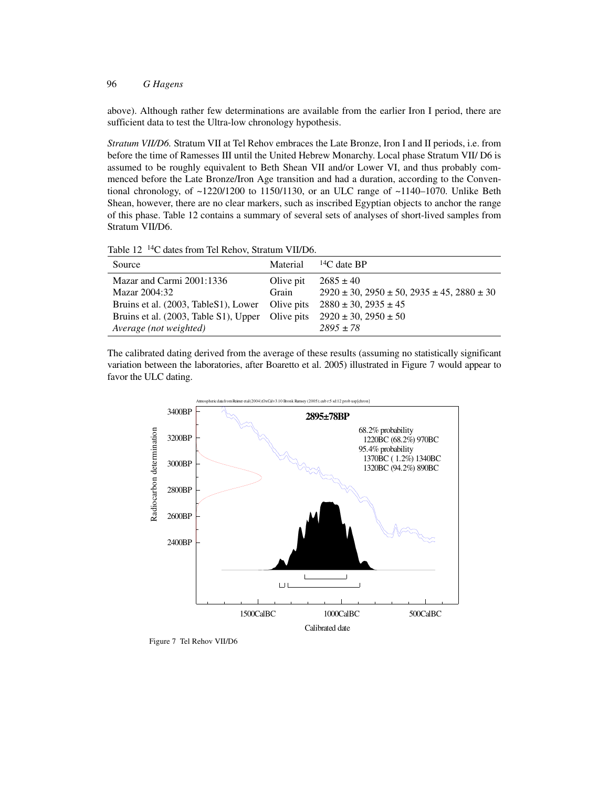above). Although rather few determinations are available from the earlier Iron I period, there are sufficient data to test the Ultra-low chronology hypothesis.

*Stratum VII/D6.* Stratum VII at Tel Rehov embraces the Late Bronze, Iron I and II periods, i.e. from before the time of Ramesses III until the United Hebrew Monarchy. Local phase Stratum VII/ D6 is assumed to be roughly equivalent to Beth Shean VII and/or Lower VI, and thus probably commenced before the Late Bronze/Iron Age transition and had a duration, according to the Conventional chronology, of  $\sim$ 1220/1200 to 1150/1130, or an ULC range of  $\sim$ 1140–1070. Unlike Beth Shean, however, there are no clear markers, such as inscribed Egyptian objects to anchor the range of this phase. Table 12 contains a summary of several sets of analyses of short-lived samples from Stratum VII/D6.

Table 12 14C dates from Tel Rehov, Stratum VII/D6.

| Source                                           | Material  | ${}^{14}C$ date BP                                            |
|--------------------------------------------------|-----------|---------------------------------------------------------------|
| Mazar and Carmi 2001:1336                        | Olive pit | $2685 \pm 40$                                                 |
| Mazar 2004:32                                    | Grain     | $2920 \pm 30$ , $2950 \pm 50$ , $2935 \pm 45$ , $2880 \pm 30$ |
| Bruins et al. (2003, TableS1), Lower             |           | Olive pits $2880 \pm 30, 2935 \pm 45$                         |
| Bruins et al. (2003, Table S1), Upper Olive pits |           | $2920 \pm 30, 2950 \pm 50$                                    |
| Average (not weighted)                           |           | $2895 + 78$                                                   |

The calibrated dating derived from the average of these results (assuming no statistically significant variation between the laboratories, after Boaretto et al. 2005) illustrated in Figure 7 would appear to favor the ULC dating.



Figure 7 Tel Rehov VII/D6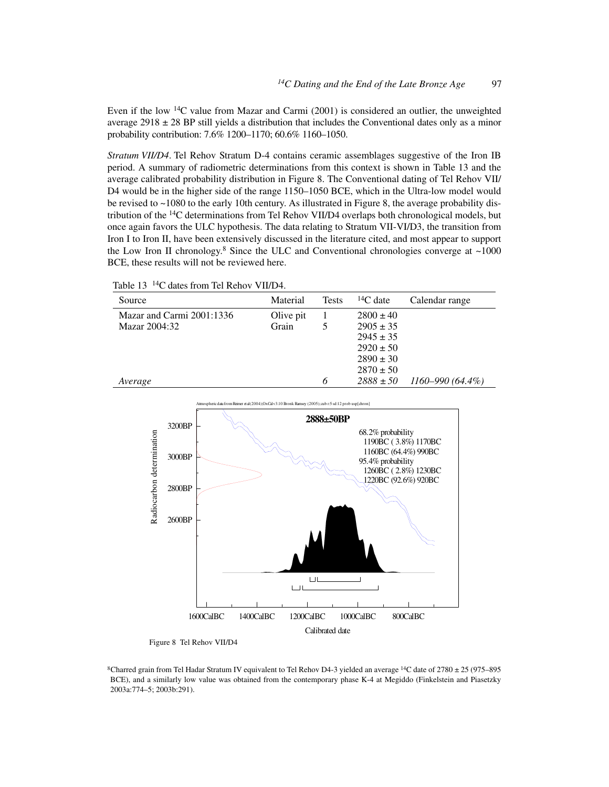Even if the low 14C value from Mazar and Carmi (2001) is considered an outlier, the unweighted average  $2918 \pm 28$  BP still yields a distribution that includes the Conventional dates only as a minor probability contribution: 7.6% 1200–1170; 60.6% 1160–1050.

*Stratum VII/D4*. Tel Rehov Stratum D-4 contains ceramic assemblages suggestive of the Iron IB period. A summary of radiometric determinations from this context is shown in Table 13 and the average calibrated probability distribution in Figure 8. The Conventional dating of Tel Rehov VII/ D4 would be in the higher side of the range 1150–1050 BCE, which in the Ultra-low model would be revised to ~1080 to the early 10th century. As illustrated in Figure 8, the average probability distribution of the 14C determinations from Tel Rehov VII/D4 overlaps both chronological models, but once again favors the ULC hypothesis. The data relating to Stratum VII-VI/D3, the transition from Iron I to Iron II, have been extensively discussed in the literature cited, and most appear to support the Low Iron II chronology.<sup>8</sup> Since the ULC and Conventional chronologies converge at  $\sim$ 1000 BCE, these results will not be reviewed here.

Table 13<sup>14</sup>C dates from Tel Rehov VII/D4.

| Source                    | Material  | <b>Tests</b> | ${}^{14}C$ date | Calendar range       |
|---------------------------|-----------|--------------|-----------------|----------------------|
| Mazar and Carmi 2001:1336 | Olive pit |              | $2800 \pm 40$   |                      |
| Mazar 2004:32             | Grain     |              | $2905 \pm 35$   |                      |
|                           |           |              | $2945 \pm 35$   |                      |
|                           |           |              | $2920 \pm 50$   |                      |
|                           |           |              | $2890 \pm 30$   |                      |
|                           |           |              | $2870 \pm 50$   |                      |
| Average                   |           | 6            | $2888 \pm 50$   | $1160 - 990(64.4\%)$ |



Figure 8 Tel Rehov VII/D4

<sup>8</sup>Charred grain from Tel Hadar Stratum IV equivalent to Tel Rehov D4-3 yielded an average <sup>14</sup>C date of 2780  $\pm$  25 (975–895) BCE), and a similarly low value was obtained from the contemporary phase K-4 at Megiddo (Finkelstein and Piasetzky 2003a:774–5; 2003b:291).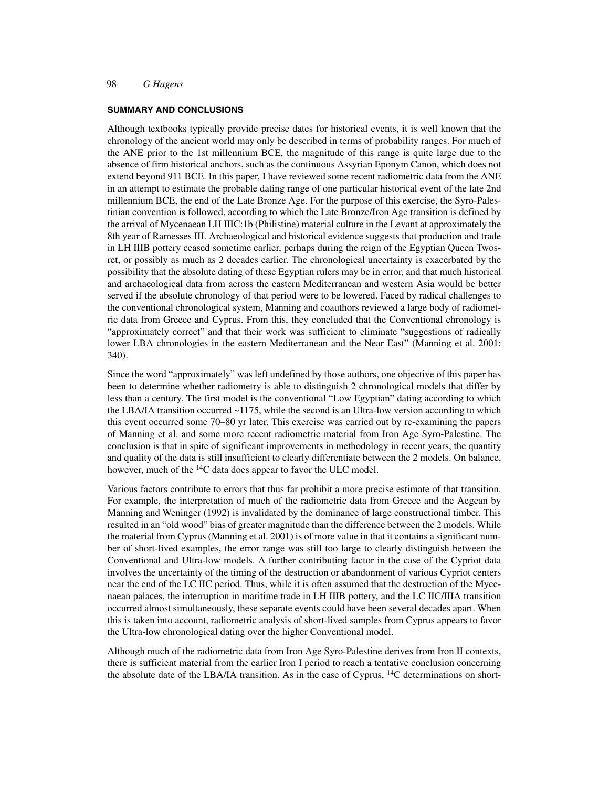#### **SUMMARY AND CONCLUSIONS**

Although textbooks typically provide precise dates for historical events, it is well known that the chronology of the ancient world may only be described in terms of probability ranges. For much of the ANE prior to the 1st millennium BCE, the magnitude of this range is quite large due to the absence of firm historical anchors, such as the continuous Assyrian Eponym Canon, which does not extend beyond 911 BCE. In this paper, I have reviewed some recent radiometric data from the ANE in an attempt to estimate the probable dating range of one particular historical event of the late 2nd millennium BCE, the end of the Late Bronze Age. For the purpose of this exercise, the Syro-Palestinian convention is followed, according to which the Late Bronze/Iron Age transition is defined by the arrival of Mycenaean LH IIIC:1b (Philistine) material culture in the Levant at approximately the 8th year of Ramesses III. Archaeological and historical evidence suggests that production and trade in LH IIIB pottery ceased sometime earlier, perhaps during the reign of the Egyptian Queen Twosret, or possibly as much as 2 decades earlier. The chronological uncertainty is exacerbated by the possibility that the absolute dating of these Egyptian rulers may be in error, and that much historical and archaeological data from across the eastern Mediterranean and western Asia would be better served if the absolute chronology of that period were to be lowered. Faced by radical challenges to the conventional chronological system, Manning and coauthors reviewed a large body of radiometric data from Greece and Cyprus. From this, they concluded that the Conventional chronology is "approximately correct" and that their work was sufficient to eliminate "suggestions of radically lower LBA chronologies in the eastern Mediterranean and the Near East" (Manning et al. 2001: 340).

Since the word "approximately" was left undefined by those authors, one objective of this paper has been to determine whether radiometry is able to distinguish 2 chronological models that differ by less than a century. The first model is the conventional "Low Egyptian" dating according to which the LBA/IA transition occurred ~1175, while the second is an Ultra-low version according to which this event occurred some 70–80 yr later. This exercise was carried out by re-examining the papers of Manning et al. and some more recent radiometric material from Iron Age Syro-Palestine. The conclusion is that in spite of significant improvements in methodology in recent years, the quantity and quality of the data is still insufficient to clearly differentiate between the 2 models. On balance, however, much of the <sup>14</sup>C data does appear to favor the ULC model.

Various factors contribute to errors that thus far prohibit a more precise estimate of that transition. For example, the interpretation of much of the radiometric data from Greece and the Aegean by Manning and Weninger (1992) is invalidated by the dominance of large constructional timber. This resulted in an "old wood" bias of greater magnitude than the difference between the 2 models. While the material from Cyprus (Manning et al. 2001) is of more value in that it contains a significant number of short-lived examples, the error range was still too large to clearly distinguish between the Conventional and Ultra-low models. A further contributing factor in the case of the Cypriot data involves the uncertainty of the timing of the destruction or abandonment of various Cypriot centers near the end of the LC IIC period. Thus, while it is often assumed that the destruction of the Mycenaean palaces, the interruption in maritime trade in LH IIIB pottery, and the LC IIC/IIIA transition occurred almost simultaneously, these separate events could have been several decades apart. When this is taken into account, radiometric analysis of short-lived samples from Cyprus appears to favor the Ultra-low chronological dating over the higher Conventional model.

Although much of the radiometric data from Iron Age Syro-Palestine derives from Iron II contexts, there is sufficient material from the earlier Iron I period to reach a tentative conclusion concerning the absolute date of the LBA/IA transition. As in the case of Cyprus,  $14C$  determinations on short-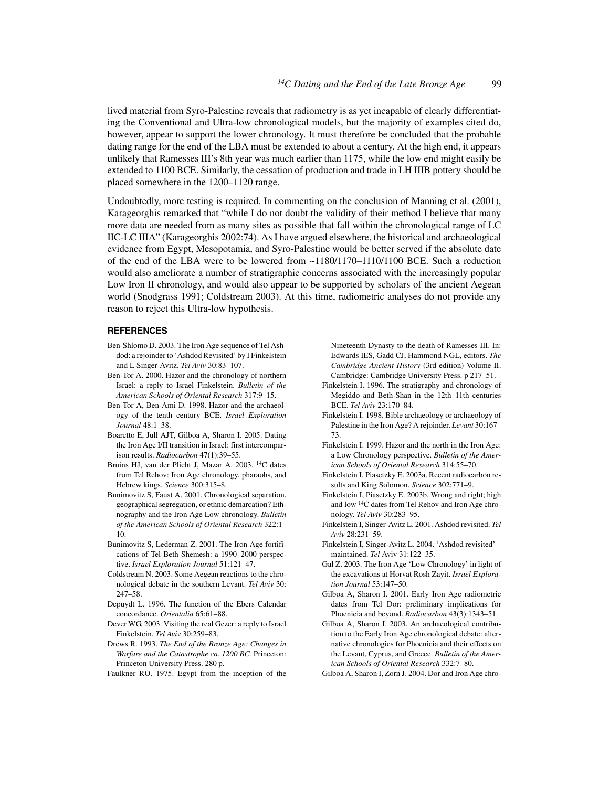lived material from Syro-Palestine reveals that radiometry is as yet incapable of clearly differentiating the Conventional and Ultra-low chronological models, but the majority of examples cited do, however, appear to support the lower chronology. It must therefore be concluded that the probable dating range for the end of the LBA must be extended to about a century. At the high end, it appears unlikely that Ramesses III's 8th year was much earlier than 1175, while the low end might easily be extended to 1100 BCE. Similarly, the cessation of production and trade in LH IIIB pottery should be placed somewhere in the 1200–1120 range.

Undoubtedly, more testing is required. In commenting on the conclusion of Manning et al. (2001), Karageorghis remarked that "while I do not doubt the validity of their method I believe that many more data are needed from as many sites as possible that fall within the chronological range of LC IIC-LC IIIA" (Karageorghis 2002:74). As I have argued elsewhere, the historical and archaeological evidence from Egypt, Mesopotamia, and Syro-Palestine would be better served if the absolute date of the end of the LBA were to be lowered from ~1180/1170–1110/1100 BCE. Such a reduction would also ameliorate a number of stratigraphic concerns associated with the increasingly popular Low Iron II chronology, and would also appear to be supported by scholars of the ancient Aegean world (Snodgrass 1991; Coldstream 2003). At this time, radiometric analyses do not provide any reason to reject this Ultra-low hypothesis.

#### **REFERENCES**

- Ben-Shlomo D. 2003. The Iron Age sequence of Tel Ashdod: a rejoinder to 'Ashdod Revisited' by I Finkelstein and L Singer-Avitz. *Tel Aviv* 30:83–107.
- Ben-Tor A. 2000. Hazor and the chronology of northern Israel: a reply to Israel Finkelstein. *Bulletin of the American Schools of Oriental Research* 317:9–15.
- Ben-Tor A, Ben-Ami D. 1998. Hazor and the archaeology of the tenth century BCE. *Israel Exploration Journal* 48:1–38.
- Boaretto E, Jull AJT, Gilboa A, Sharon I. 2005. Dating the Iron Age I/II transition in Israel: first intercomparison results. *Radiocarbon* 47(1):39–55.
- Bruins HJ, van der Plicht J, Mazar A. 2003. 14C dates from Tel Rehov: Iron Age chronology, pharaohs, and Hebrew kings. *Science* 300:315–8.
- Bunimovitz S, Faust A. 2001. Chronological separation, geographical segregation, or ethnic demarcation? Ethnography and the Iron Age Low chronology. *Bulletin of the American Schools of Oriental Research* 322:1– 10.
- Bunimovitz S, Lederman Z. 2001. The Iron Age fortifications of Tel Beth Shemesh: a 1990–2000 perspective. *Israel Exploration Journal* 51:121–47.
- Coldstream N. 2003. Some Aegean reactions to the chronological debate in the southern Levant. *Tel Aviv* 30: 247–58.
- Depuydt L. 1996. The function of the Ebers Calendar concordance. *Orientalia* 65:61–88.
- Dever WG. 2003. Visiting the real Gezer: a reply to Israel Finkelstein. *Tel Aviv* 30:259–83.
- Drews R. 1993. *The End of the Bronze Age: Changes in Warfare and the Catastrophe ca. 1200 BC.* Princeton: Princeton University Press. 280 p.
- Faulkner RO. 1975. Egypt from the inception of the

Nineteenth Dynasty to the death of Ramesses III. In: Edwards IES, Gadd CJ, Hammond NGL, editors. *The Cambridge Ancient History* (3rd edition) Volume II. Cambridge: Cambridge University Press. p 217–51.

- Finkelstein I. 1996. The stratigraphy and chronology of Megiddo and Beth-Shan in the 12th–11th centuries BCE. *Tel Aviv* 23:170–84.
- Finkelstein I. 1998. Bible archaeology or archaeology of Palestine in the Iron Age? A rejoinder. *Levant* 30:167– 73.
- Finkelstein I. 1999. Hazor and the north in the Iron Age: a Low Chronology perspective. *Bulletin of the American Schools of Oriental Research* 314:55–70.
- Finkelstein I, Piasetzky E. 2003a. Recent radiocarbon results and King Solomon. *Science* 302:771–9.
- Finkelstein I, Piasetzky E. 2003b. Wrong and right; high and low 14C dates from Tel Rehov and Iron Age chronology. *Tel Aviv* 30:283–95.
- Finkelstein I, Singer-Avitz L. 2001. Ashdod revisited. *Tel Aviv* 28:231–59.
- Finkelstein I, Singer-Avitz L. 2004. 'Ashdod revisited' maintained. *Tel* Aviv 31:122–35.
- Gal Z. 2003. The Iron Age 'Low Chronology' in light of the excavations at Horvat Rosh Zayit. *Israel Exploration Journal* 53:147–50.
- Gilboa A, Sharon I. 2001. Early Iron Age radiometric dates from Tel Dor: preliminary implications for Phoenicia and beyond. *Radiocarbon* 43(3):1343–51.
- Gilboa A, Sharon I. 2003. An archaeological contribution to the Early Iron Age chronological debate: alternative chronologies for Phoenicia and their effects on the Levant, Cyprus, and Greece. *Bulletin of the American Schools of Oriental Research* 332:7–80.
- Gilboa A, Sharon I, Zorn J. 2004. Dor and Iron Age chro-